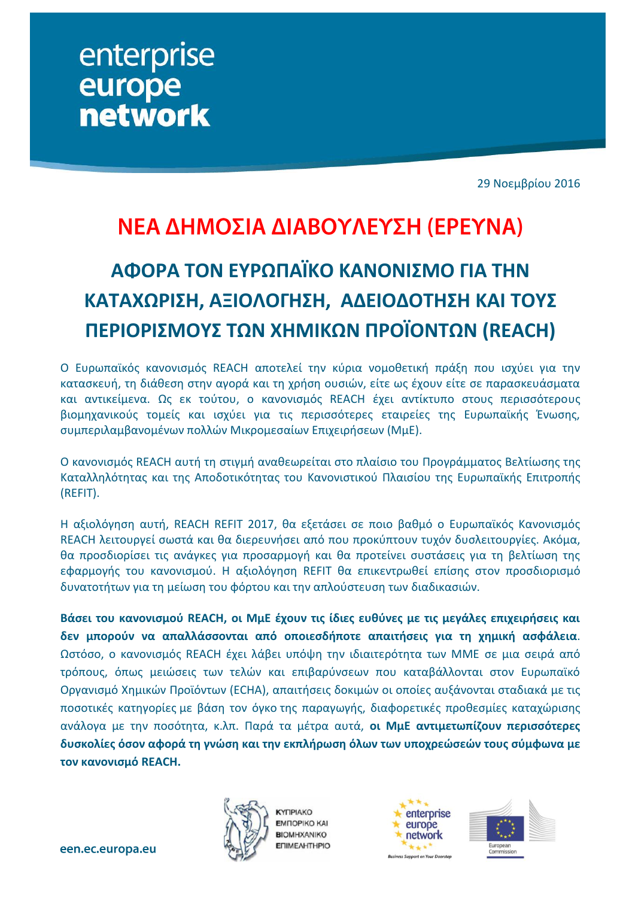enterprise europe **network** 

29 Νοεμβρίου 2016

# ΝΕΑ ΔΗΜΟΣΙΑ ΔΙΑΒΟΥΛΕΥΣΗ (ΕΡΕΥΝΑ)

# **ΑΦΟΡΑ ΤΟΝ ΕΥΡΩΠΑΪΚΟ ΚΑΝΟΝΙΣΜΟ ΓΙΑ ΤΗΝ ΚΑΤΑΧΩΡΙΣΗ, ΑΞΙΟΛΟΓΗΣΗ, ΑΔΕΙΟΔΟΤΗΣΗ ΚΑΙ ΤΟΥΣ ΠΕΡΙΟΡΙΣΜΟΥΣ ΤΩΝ ΧΗΜΙΚΩΝ ΠΡΟΪΟΝΤΩΝ (REACH)**

Ο Ευρωπαϊκός κανονισμός REACH αποτελεί την κύρια νομοθετική πράξη που ισχύει για την κατασκευή, τη διάθεση στην αγορά και τη χρήση ουσιών, είτε ως έχουν είτε σε παρασκευάσματα και αντικείμενα. Ως εκ τούτου, ο κανονισμός REACH έχει αντίκτυπο στους περισσότερους βιομηχανικούς τομείς και ισχύει για τις περισσότερες εταιρείες της Ευρωπαϊκής Ένωσης, συμπεριλαμβανομένων πολλών Μικρομεσαίων Επιχειρήσεων (ΜμΕ).

Ο κανονισμός REACH αυτή τη στιγμή αναθεωρείται στο πλαίσιο του Προγράμματος Βελτίωσης της Καταλληλότητας και της Αποδοτικότητας του Κανονιστικού Πλαισίου της Ευρωπαϊκής Επιτροπής (REFIT).

Η αξιολόγηση αυτή, REACH REFIT 2017, θα εξετάσει σε ποιο βαθμό ο Ευρωπαϊκός Κανονισμός REACH λειτουργεί σωστά και θα διερευνήσει από που προκύπτουν τυχόν δυσλειτουργίες. Ακόμα, θα προσδιορίσει τις ανάγκες για προσαρμογή και θα προτείνει συστάσεις για τη βελτίωση της εφαρμογής του κανονισμού. Η αξιολόγηση REFIT θα επικεντρωθεί επίσης στον προσδιορισμό δυνατοτήτων για τη μείωση του φόρτου και την απλούστευση των διαδικασιών.

**Βάσει του κανονισμού REACH, οι ΜμΕ έχουν τις ίδιες ευθύνες με τις μεγάλες επιχειρήσεις και δεν μπορούν να απαλλάσσονται από οποιεσδήποτε απαιτήσεις για τη χημική ασφάλεια**. Ωστόσο, ο κανονισμός REACH έχει λάβει υπόψη την ιδιαιτερότητα των ΜΜΕ σε μια σειρά από τρόπους, όπως μειώσεις των τελών και επιβαρύνσεων που καταβάλλονται στον Ευρωπαϊκό Οργανισμό Χημικών Προϊόντων (ECHA), απαιτήσεις δοκιμών οι οποίες αυξάνονται σταδιακά με τις ποσοτικές κατηγορίες με βάση τον όγκο της παραγωγής, διαφορετικές προθεσμίες καταχώρισης ανάλογα με την ποσότητα, κ.λπ. Παρά τα μέτρα αυτά, **οι ΜμΕ αντιμετωπίζουν περισσότερες δυσκολίες όσον αφορά τη γνώση και την εκπλήρωση όλων των υποχρεώσεών τους σύμφωνα με τον κανονισμό REACH.**



**KYTIPIAKO EMΠOPIKO KAI BIOMHXANIKO ENIMEAHTHPIO** 



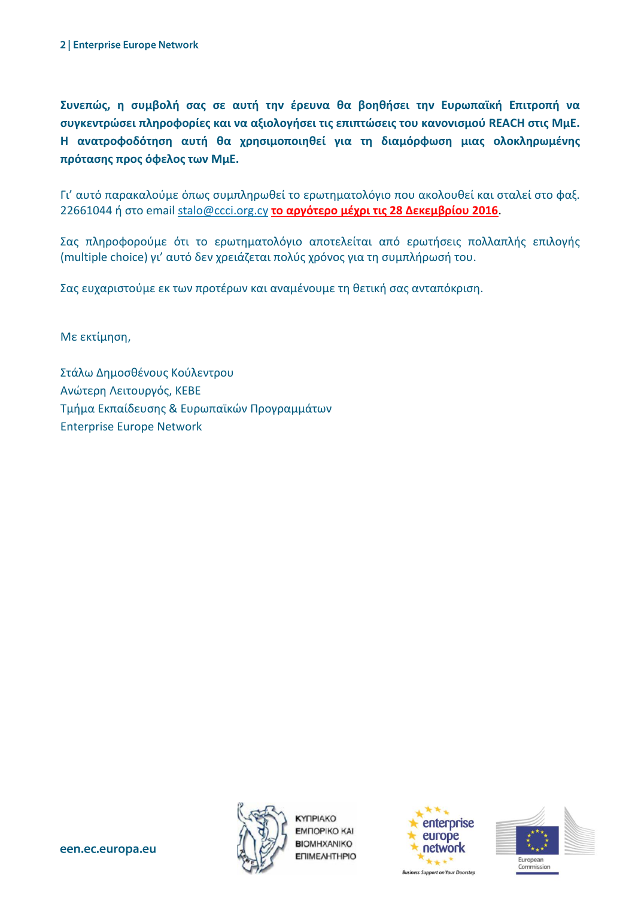**Συνεπώς, η συμβολή σας σε αυτή την έρευνα θα βοηθήσει την Ευρωπαϊκή Επιτροπή να συγκεντρώσει πληροφορίες και να αξιολογήσει τις επιπτώσεις του κανονισμού REACH στις ΜμΕ. Η ανατροφοδότηση αυτή θα χρησιμοποιηθεί για τη διαμόρφωση μιας ολοκληρωμένης πρότασης προς όφελος των ΜμΕ.**

Γι' αυτό παρακαλούμε όπως συμπληρωθεί το ερωτηματολόγιο που ακολουθεί και σταλεί στο φαξ. 22661044 ή στο email [stalo@ccci.org.cy](mailto:stalo@ccci.org.cy) **το αργότερο μέχρι τις 28 Δεκεμβρίου 2016**.

Σας πληροφορούμε ότι το ερωτηματολόγιο αποτελείται από ερωτήσεις πολλαπλής επιλογής (multiple choice) γι' αυτό δεν χρειάζεται πολύς χρόνος για τη συμπλήρωσή του.

Σας ευχαριστούμε εκ των προτέρων και αναμένουμε τη θετική σας ανταπόκριση.

Με εκτίμηση,

Στάλω Δημοσθένους Κούλεντρου Ανώτερη Λειτουργός, KEBE Τμήμα Εκπαίδευσης & Ευρωπαϊκών Προγραμμάτων Enterprise Europe Network



**KYTIPIAKO EMПOPIKO KAI BIOMHXANIKO ENIMEAHTHPIO** 





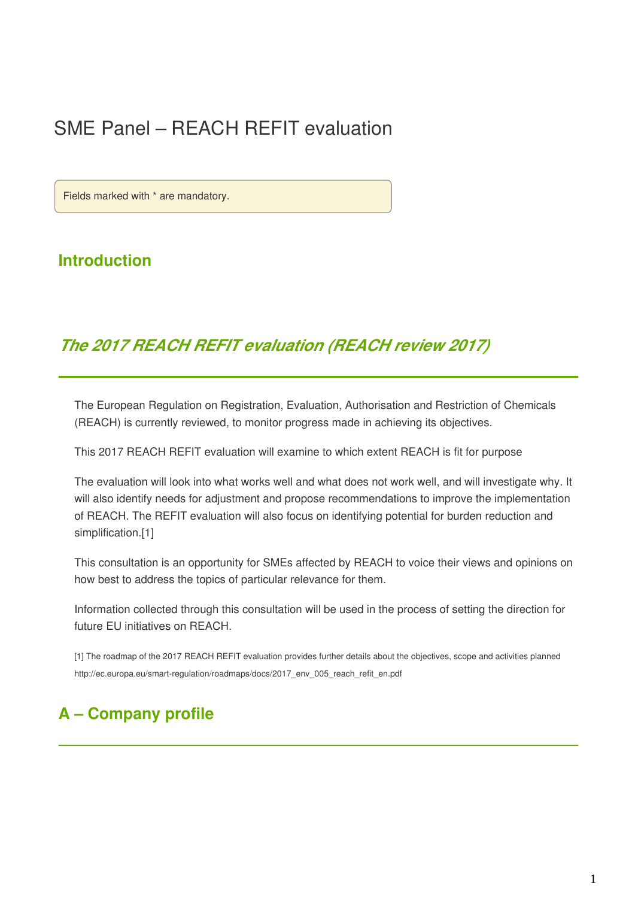## SME Panel – REACH REFIT evaluation

Fields marked with \* are mandatory.

### **Introduction**

## *The 2017 REACH REFIT evaluation (REACH review 2017)*

The European Regulation on Registration, Evaluation, Authorisation and Restriction of Chemicals (REACH) is currently reviewed, to monitor progress made in achieving its objectives.

This 2017 REACH REFIT evaluation will examine to which extent REACH is fit for purpose

The evaluation will look into what works well and what does not work well, and will investigate why. It will also identify needs for adjustment and propose recommendations to improve the implementation of REACH. The REFIT evaluation will also focus on identifying potential for burden reduction and simplification.<sup>[1]</sup>

This consultation is an opportunity for SMEs affected by REACH to voice their views and opinions on how best to address the topics of particular relevance for them.

Information collected through this consultation will be used in the process of setting the direction for future EU initiatives on REACH.

[1] The roadmap of the 2017 REACH REFIT evaluation provides further details about the objectives, scope and activities planned http://ec.europa.eu/smart-regulation/roadmaps/docs/2017\_env\_005\_reach\_refit\_en.pdf

## **A – Company profile**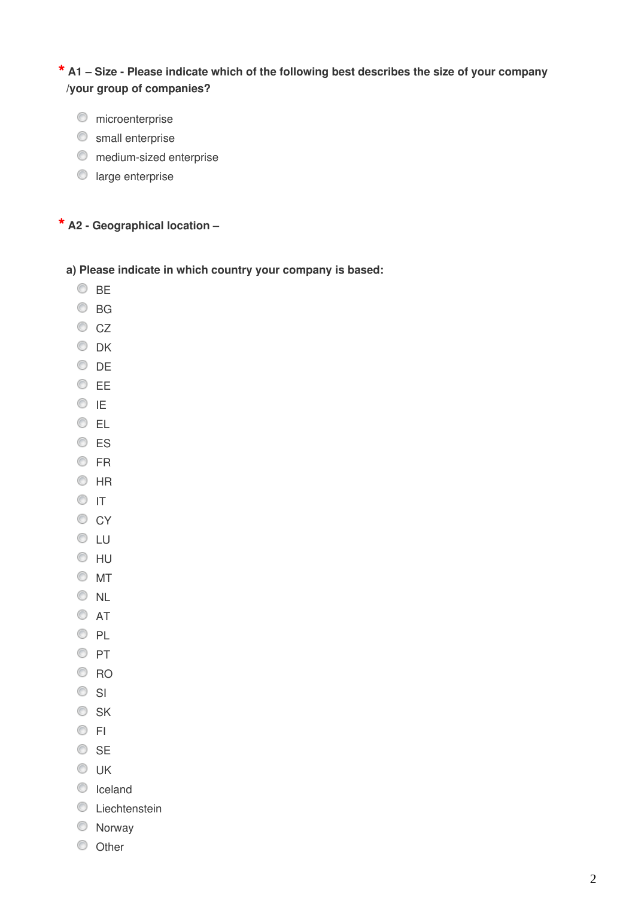**\* A1 – Size - Please indicate which of the following best describes the size of your company /your group of companies?**

- **O** microenterprise
- **S** small enterprise
- **O** medium-sized enterprise
- **large enterprise**

#### **\* A2 - Geographical location –**

**a) Please indicate in which country your company is based:** 

- $\circ$  BE
- $\circ$  BG
- $\circ$  CZ
- O DK
- DE
- EE
- $\circ$  ie
- © EL
- O ES
- O FR
- $\odot$  HR
- $\circ$  It
- $\circ$  CY
- **OLU**
- $\odot$  HU
- $\circ$  MT
- O NL
- $\circ$  AT
- O PL
- $\circ$  PT
- C RO
- $\circ$  SI
- $\circ$  SK
- $\circ$  FI
- © SE
- $\odot$  UK
- C Iceland
- **C** Liechtenstein
- Norway
- $\circ$  Other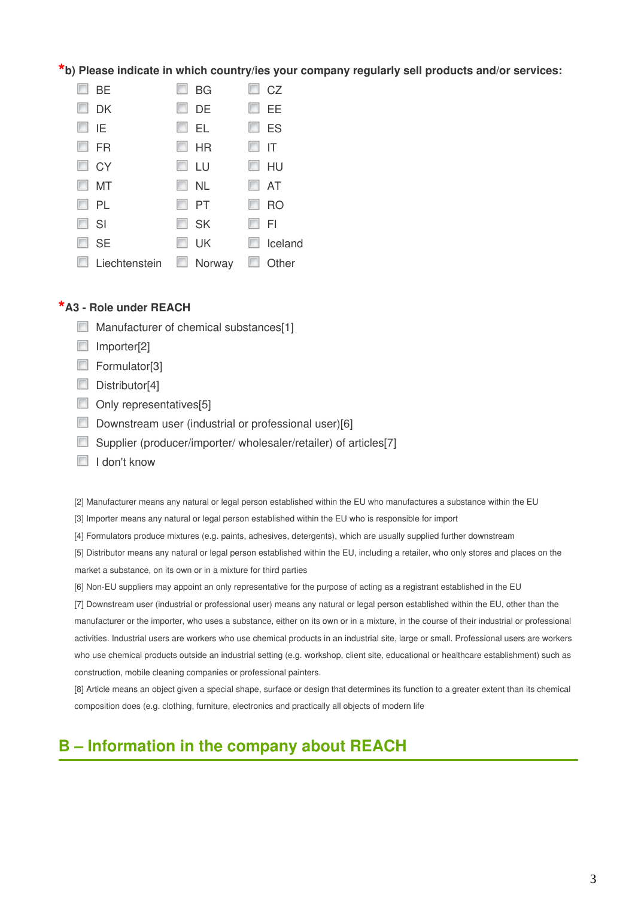**\*b) Please indicate in which country/ies your company regularly sell products and/or services:**

| <b>BE</b>     | <b>BG</b>     | CZ        |
|---------------|---------------|-----------|
| <b>DK</b>     | DE            | EE        |
| IE            | EL            | ES        |
| <b>FR</b>     | <b>HR</b>     | IT        |
| <b>CY</b>     | LU            | HU        |
| <b>MT</b>     | <b>NL</b>     | AT        |
| PL            | PT            | <b>RO</b> |
| SI            | <b>SK</b>     | FI        |
| <b>SE</b>     | UK            | Iceland   |
| Liechtenstein | $\Box$ Norway | Other     |

#### **\*A3 - Role under REACH**

- **Manufacturer of chemical substances[1]**
- Importer[2]
- Formulator<sup>[3]</sup>
- $\Box$  Distributor[4]
- Only representatives[5]
- Downstream user (industrial or professional user)[6]
- Supplier (producer/importer/ wholesaler/retailer) of articles[7]
- $\Box$  I don't know

[2] Manufacturer means any natural or legal person established within the EU who manufactures a substance within the EU

- [3] Importer means any natural or legal person established within the EU who is responsible for import
- [4] Formulators produce mixtures (e.g. paints, adhesives, detergents), which are usually supplied further downstream

[5] Distributor means any natural or legal person established within the EU, including a retailer, who only stores and places on the market a substance, on its own or in a mixture for third parties

[6] Non-EU suppliers may appoint an only representative for the purpose of acting as a registrant established in the EU

[7] Downstream user (industrial or professional user) means any natural or legal person established within the EU, other than the manufacturer or the importer, who uses a substance, either on its own or in a mixture, in the course of their industrial or professional activities. Industrial users are workers who use chemical products in an industrial site, large or small. Professional users are workers who use chemical products outside an industrial setting (e.g. workshop, client site, educational or healthcare establishment) such as construction, mobile cleaning companies or professional painters.

[8] Article means an object given a special shape, surface or design that determines its function to a greater extent than its chemical composition does (e.g. clothing, furniture, electronics and practically all objects of modern life

## **B – Information in the company about REACH**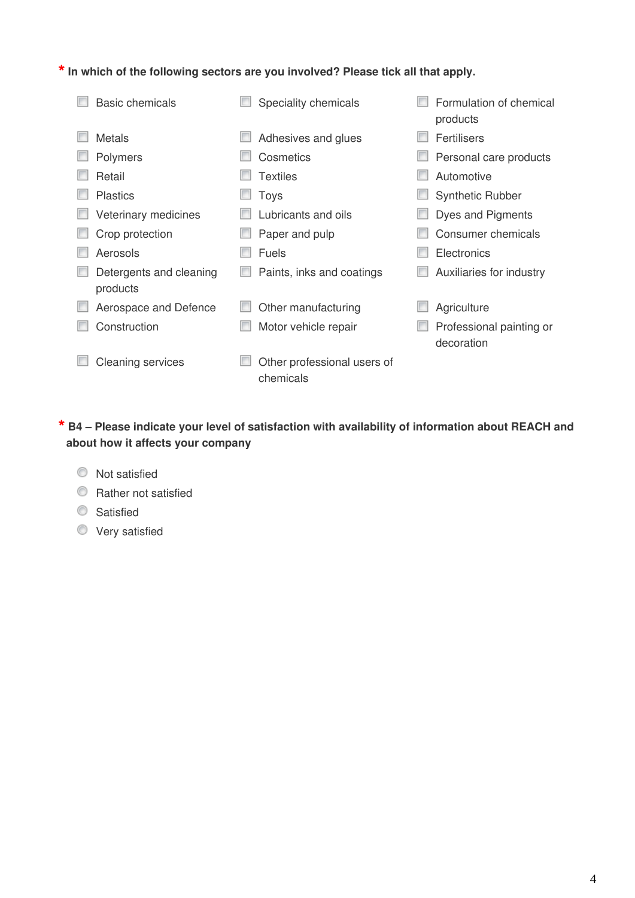**\*In which of the following sectors are you involved? Please tick all that apply.**

| <b>Basic chemicals</b>              | Speciality chemicals                     | Formulation of chemical<br>products    |
|-------------------------------------|------------------------------------------|----------------------------------------|
| Metals                              | Adhesives and glues                      | Fertilisers                            |
| Polymers                            | Cosmetics                                | Personal care products                 |
| Retail                              | Textiles                                 | Automotive                             |
| <b>Plastics</b>                     | Toys                                     | <b>Synthetic Rubber</b>                |
| Veterinary medicines                | Lubricants and oils                      | Dyes and Pigments                      |
| Crop protection                     | Paper and pulp                           | Consumer chemicals                     |
| Aerosols                            | <b>Fuels</b>                             | Electronics                            |
| Detergents and cleaning<br>products | Paints, inks and coatings                | Auxiliaries for industry               |
| Aerospace and Defence               | Other manufacturing                      | Agriculture                            |
| Construction                        | Motor vehicle repair                     | Professional painting or<br>decoration |
| <b>Cleaning services</b>            | Other professional users of<br>chemicals |                                        |

#### **\* B4 – Please indicate your level of satisfaction with availability of information about REACH and about how it affects your company**

- $\bullet$  Not satisfied
- **C** Rather not satisfied
- **Satisfied**
- Very satisfied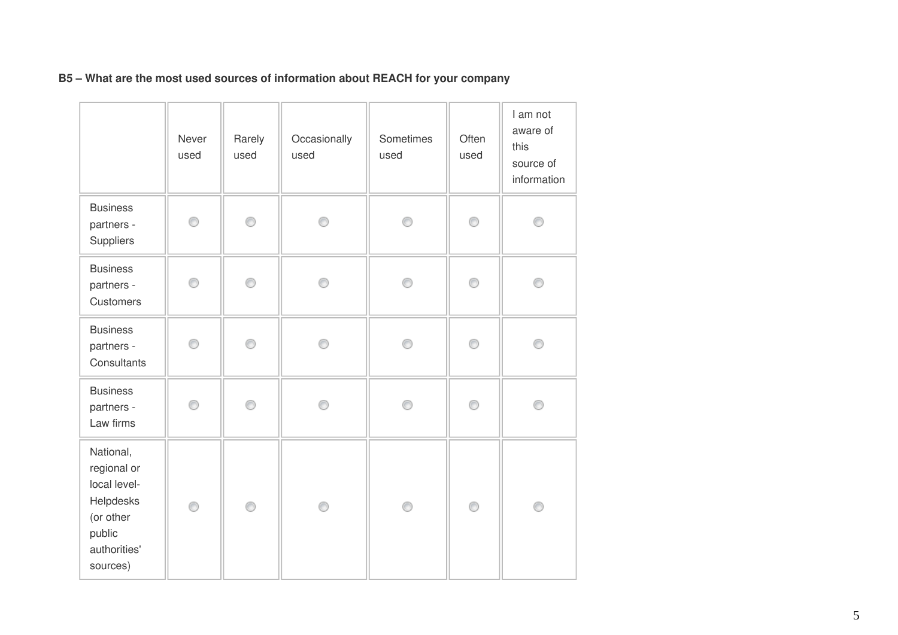|                                                                                                          | Never<br>used | Rarely<br>used | Occasionally<br>used | Sometimes<br>used | Often<br>used | I am not<br>aware of<br>this<br>source of<br>information |
|----------------------------------------------------------------------------------------------------------|---------------|----------------|----------------------|-------------------|---------------|----------------------------------------------------------|
| <b>Business</b><br>partners -<br>Suppliers                                                               | 0             | ⊙              | ⊙                    | ⊙                 | 0             | ⋒                                                        |
| <b>Business</b><br>partners -<br>Customers                                                               | 0             | 0              | ⊙                    | ⊙                 | 0             | O                                                        |
| <b>Business</b><br>partners -<br>Consultants                                                             | 0             | 0              | ∩                    | ⊙                 | 0             | C                                                        |
| <b>Business</b><br>partners -<br>Law firms                                                               | ⊙             | ∩              | ⋒                    | ∩                 | 0             |                                                          |
| National,<br>regional or<br>local level-<br>Helpdesks<br>(or other<br>public<br>authorities'<br>sources) | 0             | ⊙              | ⊙                    | 0                 | 0             | ⊙                                                        |

#### **B5 – What are the most used sources of information about REACH for your company**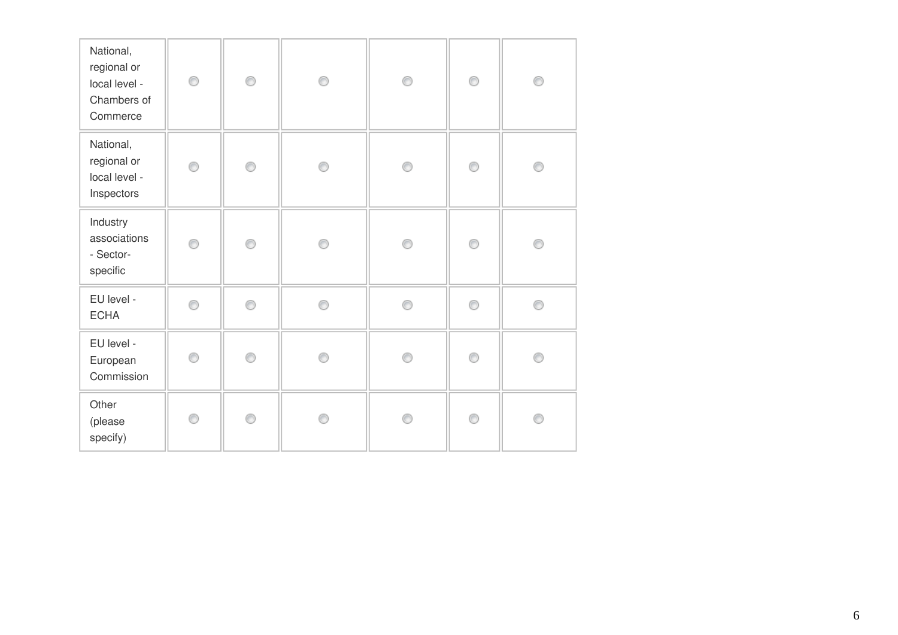| National,<br>regional or<br>local level -<br>Chambers of<br>Commerce | 0 | 0 | 0 | 0 | 0 | 0 |
|----------------------------------------------------------------------|---|---|---|---|---|---|
| National,<br>regional or<br>local level -<br>Inspectors              | 0 | 0 | ◉ | ⊙ | 0 | ⋒ |
| Industry<br>associations<br>- Sector-<br>specific                    | ⊙ | 0 | ◉ | ⊙ | 0 | ⋒ |
| EU level -<br><b>ECHA</b>                                            | 0 | 0 | ◉ | 0 | 0 | ∩ |
| EU level -<br>European<br>Commission                                 | ⊙ | ∩ | A | ∩ | ∩ |   |
| Other<br>(please<br>specify)                                         | ∩ | ∩ | A | ∩ | ∩ |   |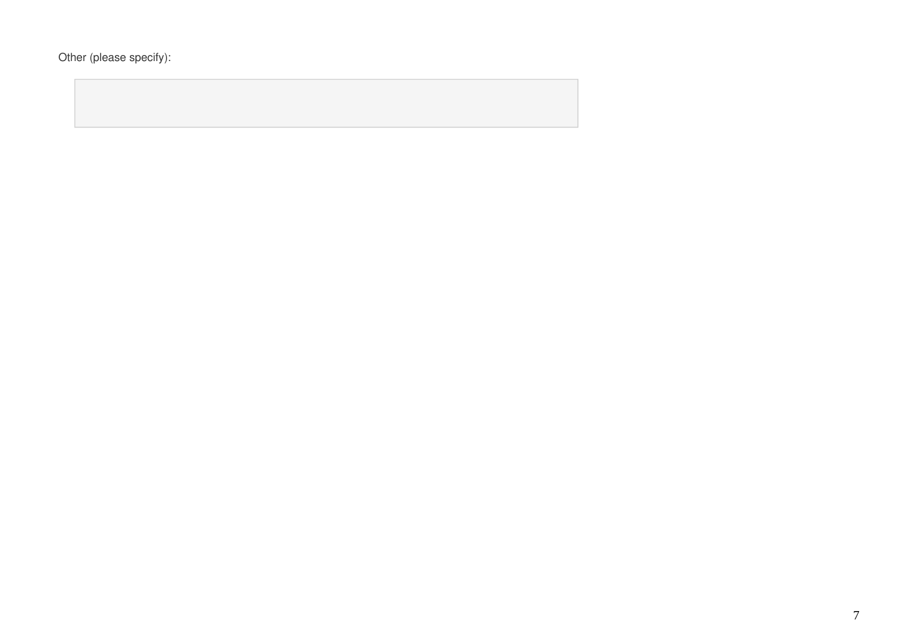Other (please specify):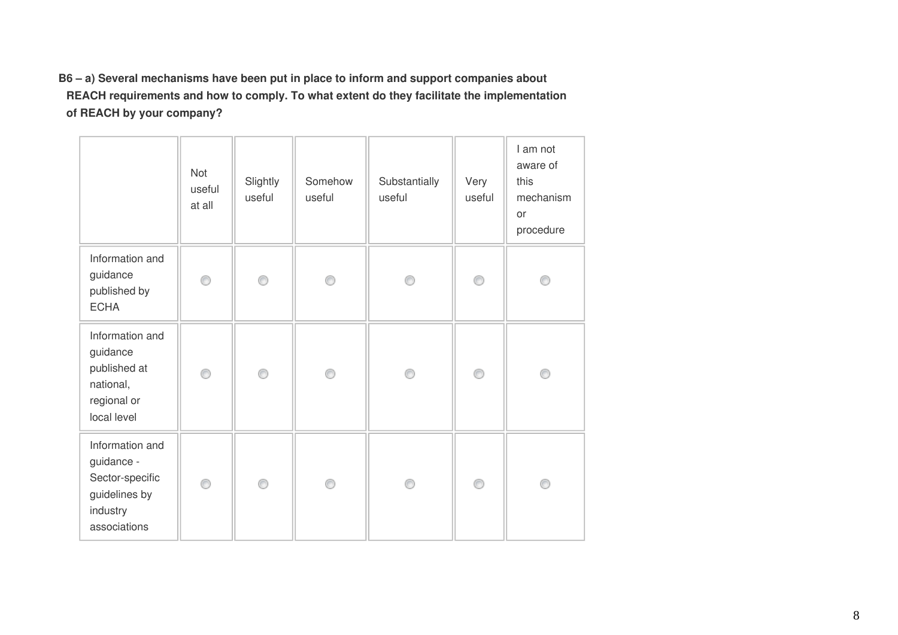**B6 – a) Several mechanisms have been put in place to inform and support companies about REACH requirements and how to comply. To what extent do they facilitate the implementation of REACH by your company?**

|                                                                                               | Not<br>useful<br>at all | Slightly<br>useful | Somehow<br>useful | Substantially<br>useful | Very<br>useful | I am not<br>aware of<br>this<br>mechanism<br>or<br>procedure |
|-----------------------------------------------------------------------------------------------|-------------------------|--------------------|-------------------|-------------------------|----------------|--------------------------------------------------------------|
| Information and<br>guidance<br>published by<br><b>ECHA</b>                                    | ∩                       | ⊙                  |                   |                         | ⋒              |                                                              |
| Information and<br>guidance<br>published at<br>national,<br>regional or<br>local level        | ∩                       | ◉                  | 0                 |                         | ⊙              | ∩                                                            |
| Information and<br>guidance -<br>Sector-specific<br>guidelines by<br>industry<br>associations | ⊙                       | ⊙                  | ∩                 |                         | ⋒              |                                                              |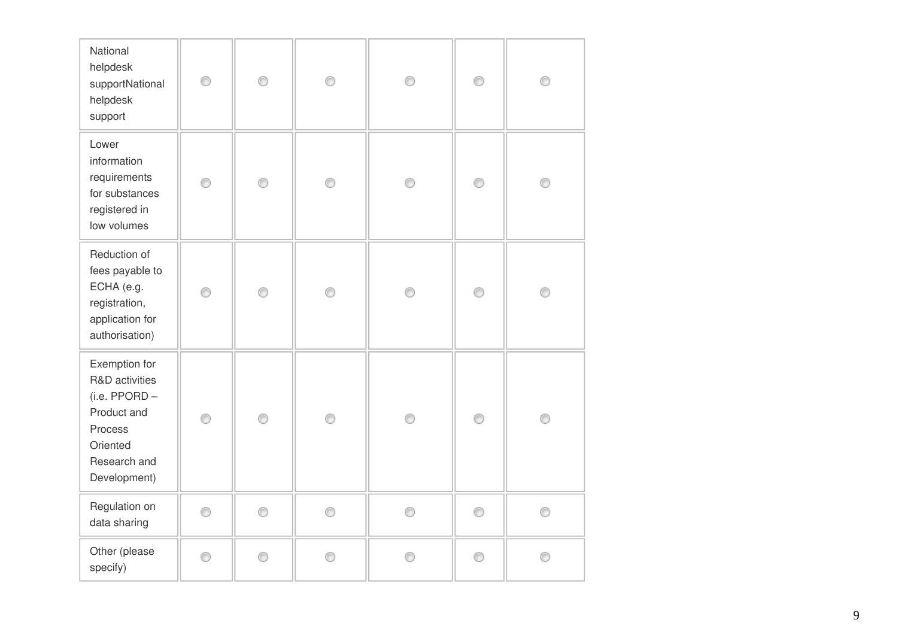| National<br>helpdesk<br>supportNational<br>helpdesk<br>support                                                         | ⊙ | 0 | ◉ | Ô | ⊙ |   |
|------------------------------------------------------------------------------------------------------------------------|---|---|---|---|---|---|
| Lower<br>information<br>requirements<br>for substances<br>registered in<br>low volumes                                 | 0 | 0 | ⊙ | ⊙ | 0 |   |
| Reduction of<br>fees payable to<br>ECHA (e.g.<br>registration,<br>application for<br>authorisation)                    | ⊙ | ⊙ | ∩ | e | ∩ |   |
| Exemption for<br>R&D activities<br>(i.e. PPORD -<br>Product and<br>Process<br>Oriented<br>Research and<br>Development) | 0 | ⊙ | 0 | 0 | 0 |   |
| Regulation on<br>data sharing                                                                                          | 0 | 0 | 0 | ⊙ | 0 | ∩ |
| Other (please<br>specify)                                                                                              | ⊙ |   | ∩ | ⋒ | ⊙ |   |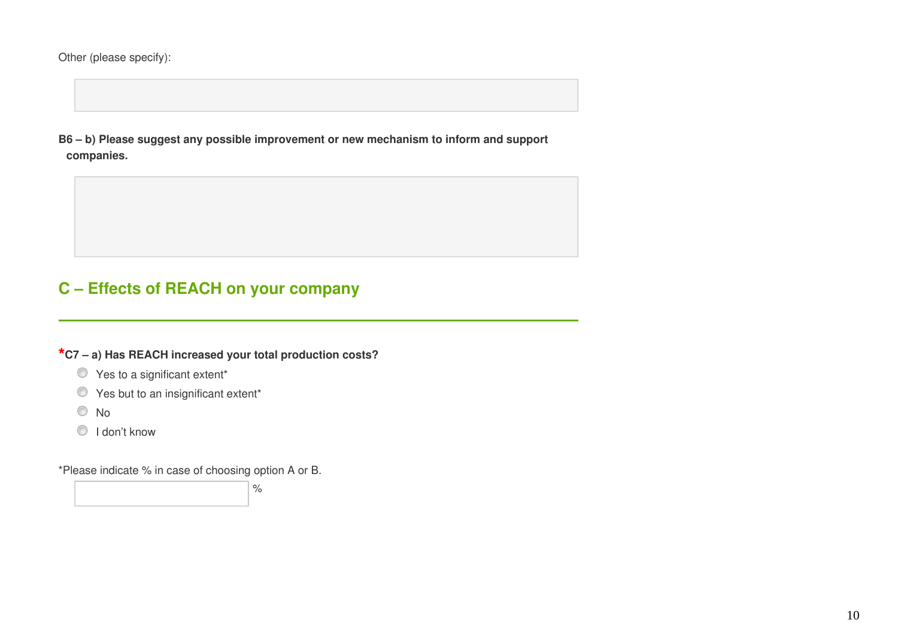Other (please specify):

**B6 – b) Please suggest any possible improvement or new mechanism to inform and support companies.**

## **C – Effects of REACH on your company**

**\*C7 – a) Has REACH increased your total production costs?**

- $\bullet$  Yes to a significant extent\*
- $\bullet$  Yes but to an insignificant extent\*
- No
- **I** don't know

\*Please indicate % in case of choosing option A or B.

%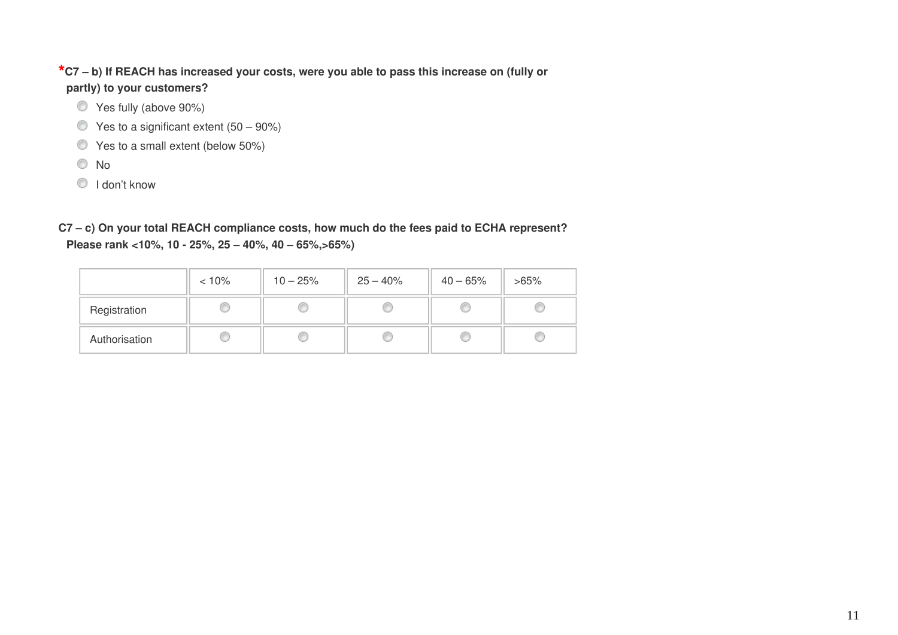#### **\*C7 – b) If REACH has increased your costs, were you able to pass this increase on (fully or partly) to your customers?**

- Yes fully (above 90%)
- $\bullet$  Yes to a significant extent (50 90%)
- Yes to a small extent (below 50%)
- No
- **I** don't know

**C7 – c) On your total REACH compliance costs, how much do the fees paid to ECHA represent? Please rank <10%, 10 - 25%, 25 – 40%, 40 – 65%,>65%)** 

|               | $< 10\%$ | $10 - 25%$ | $25 - 40\%$ | $40 - 65%$ | $>65\%$ |
|---------------|----------|------------|-------------|------------|---------|
| Registration  |          |            |             |            |         |
| Authorisation |          |            |             |            |         |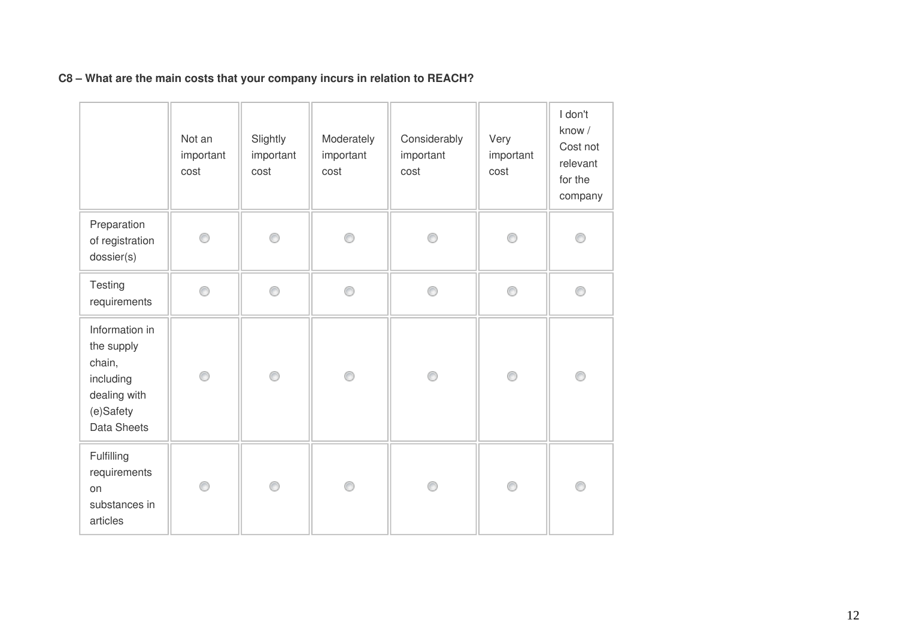|                                                                                                        | Not an<br>important<br>cost | Slightly<br>important<br>cost | Moderately<br>important<br>cost | Considerably<br>important<br>cost | Very<br>important<br>cost | I don't<br>know /<br>Cost not<br>relevant<br>for the<br>company |
|--------------------------------------------------------------------------------------------------------|-----------------------------|-------------------------------|---------------------------------|-----------------------------------|---------------------------|-----------------------------------------------------------------|
| Preparation<br>of registration<br>dossier(s)                                                           | ∩                           | ∩                             | ⊙                               | ⋒                                 | ⋒                         |                                                                 |
| Testing<br>requirements                                                                                | ⊙                           | ⊙                             | 0                               | ◉                                 | ⊙                         | ⊜                                                               |
| Information in<br>the supply<br>chain,<br>including<br>dealing with<br>(e)Safety<br><b>Data Sheets</b> | ⊙                           | 0                             | 0                               | ⊙                                 | ⊙                         | C                                                               |
| Fulfilling<br>requirements<br>on<br>substances in<br>articles                                          | ⊙                           | ⊙                             | ⊙                               | ⊙                                 | ⊙                         | ⋒                                                               |

#### **C8 – What are the main costs that your company incurs in relation to REACH?**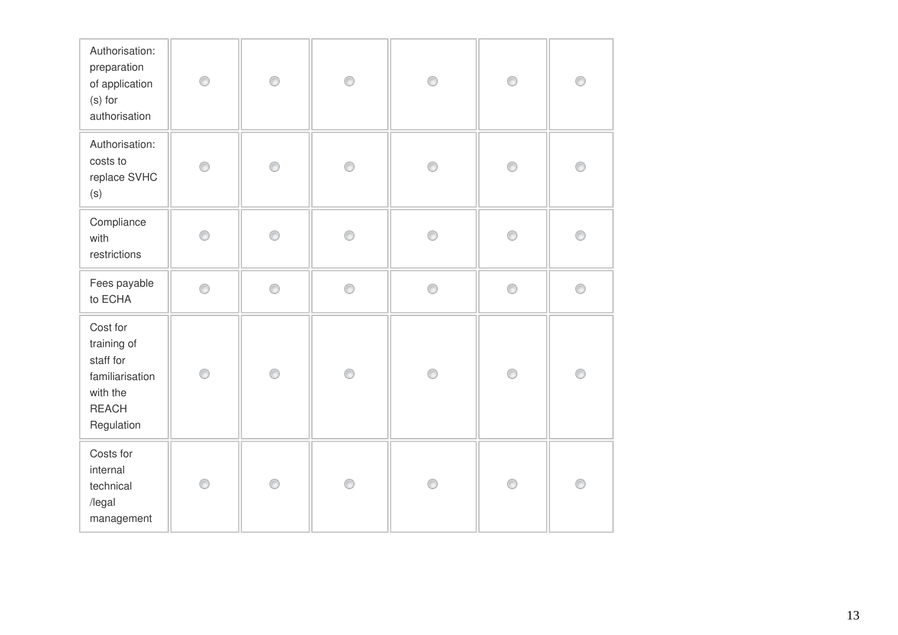| Authorisation:<br>preparation<br>of application<br>(s) for<br>authorisation                       | 0 | 0 | 0 | ⊙ | 0              | 0 |
|---------------------------------------------------------------------------------------------------|---|---|---|---|----------------|---|
| Authorisation:<br>costs to<br>replace SVHC<br>(s)                                                 | ⋒ | ∩ | ⊙ | ⋒ | ⊙              | ⋒ |
| Compliance<br>with<br>restrictions                                                                | ⋒ | ⊙ | ◉ | ∩ | 0              | ∩ |
| Fees payable<br>to ECHA                                                                           | ◉ | 0 | ⊙ | ◉ | 0              | 0 |
| Cost for<br>training of<br>staff for<br>familiarisation<br>with the<br><b>REACH</b><br>Regulation | ⊙ | ◉ | ⊙ | ◉ | $\circledcirc$ | 0 |
| Costs for<br>internal<br>technical<br>/legal<br>management                                        | ∩ | ∩ | ⊙ | ⋒ | ⊙              | ◉ |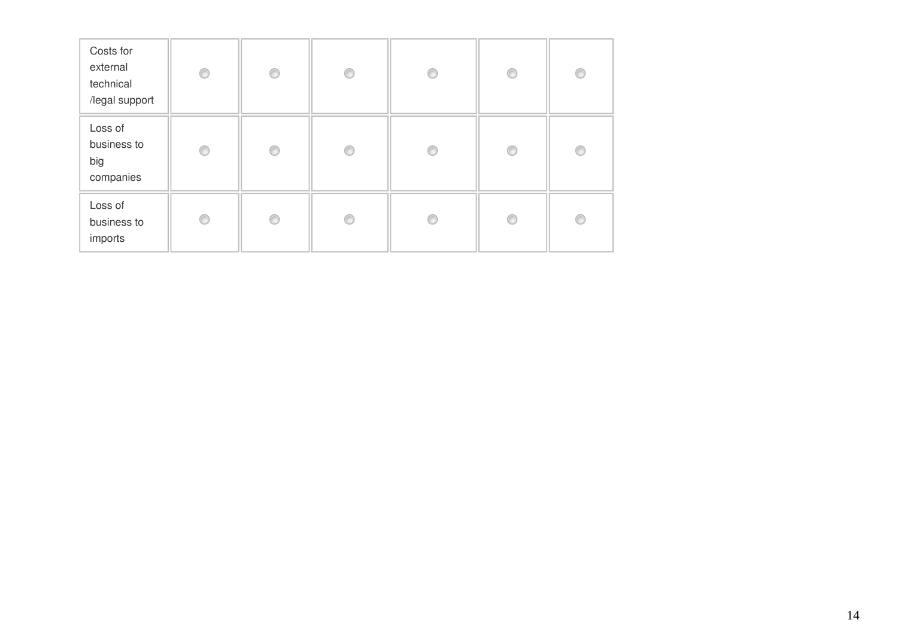| Costs for<br>external<br>technical<br>/legal support | ⊙ | 0 | ⊙ | € | O | ⋒ |
|------------------------------------------------------|---|---|---|---|---|---|
| Loss of<br>business to<br>big<br>companies           | ∩ | € | ⊙ |   | O | € |
| Loss of<br>business to<br>imports                    | ⊙ | ◉ | ⊙ |   | 0 | ⋒ |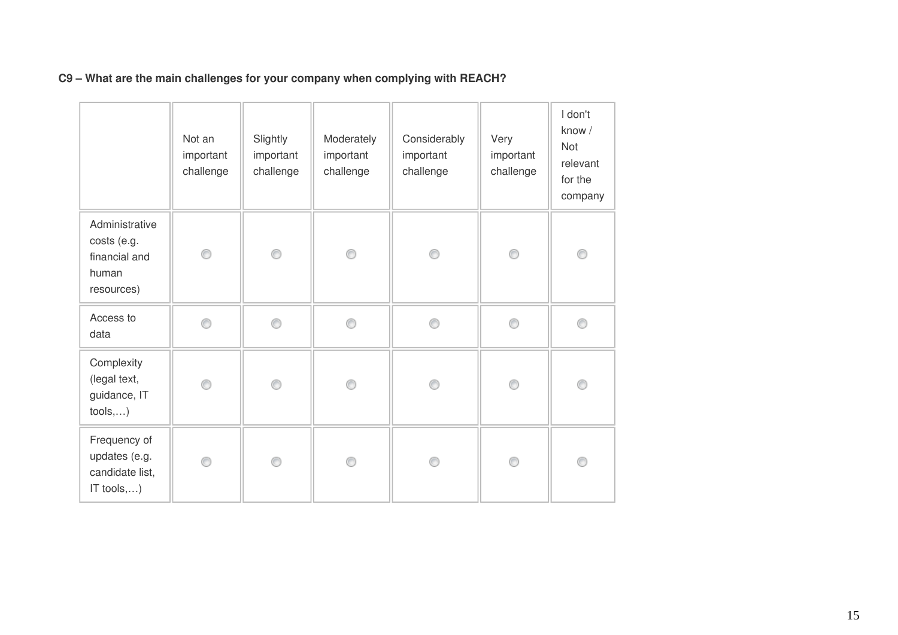|                                                                         | Not an<br>important<br>challenge | Slightly<br>important<br>challenge | Moderately<br>important<br>challenge | Considerably<br>important<br>challenge | Very<br>important<br>challenge | I don't<br>know /<br><b>Not</b><br>relevant<br>for the<br>company |
|-------------------------------------------------------------------------|----------------------------------|------------------------------------|--------------------------------------|----------------------------------------|--------------------------------|-------------------------------------------------------------------|
| Administrative<br>costs (e.g.<br>financial and<br>human<br>resources)   | ⊙                                | ⊙                                  | 0                                    | ⊙                                      | 0                              | C                                                                 |
| Access to<br>data                                                       | ⊙                                | 0                                  | ⊙                                    | ⊙                                      | ∩                              | €                                                                 |
| Complexity<br>(legal text,<br>guidance, IT<br>tools,)                   | 0                                | ⊙                                  | ⊙                                    | ⊙                                      | ⊙                              | ⋒                                                                 |
| Frequency of<br>updates (e.g.<br>candidate list,<br>IT tools, $\dots$ ) | ⊙                                | 0                                  | ⊙                                    | ⊙                                      | ∩                              | C                                                                 |

#### **C9 – What are the main challenges for your company when complying with REACH?**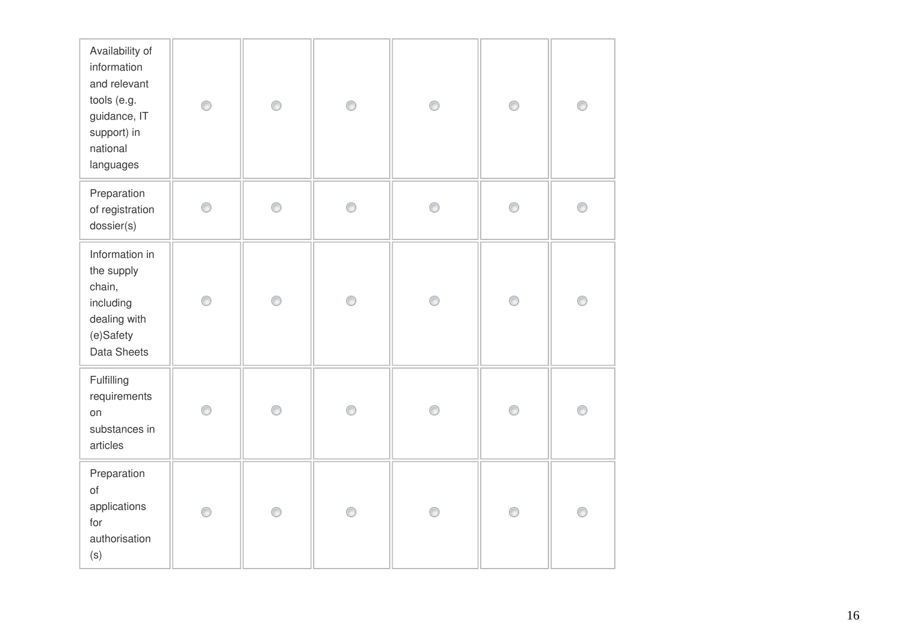| Availability of<br>information<br>and relevant<br>tools (e.g.<br>guidance, IT<br>support) in<br>national<br>languages | ⊙ | ⊙ | 0 | ◉ | 0 | 0 |
|-----------------------------------------------------------------------------------------------------------------------|---|---|---|---|---|---|
| Preparation<br>of registration<br>dossier(s)                                                                          | ⊙ | 0 | 0 | ∩ | 0 | ⊙ |
| Information in<br>the supply<br>chain,<br>including<br>dealing with<br>(e)Safety<br>Data Sheets                       | ⊙ | ◉ | 0 | ◉ | 0 | 0 |
| Fulfilling<br>requirements<br>on<br>substances in<br>articles                                                         | ⊙ | ⊙ | ⊙ | ⋒ | 0 | ⊙ |
| Preparation<br>of<br>applications<br>for<br>authorisation<br>(s)                                                      | ◉ | ◉ | 0 | ◉ | 0 | 0 |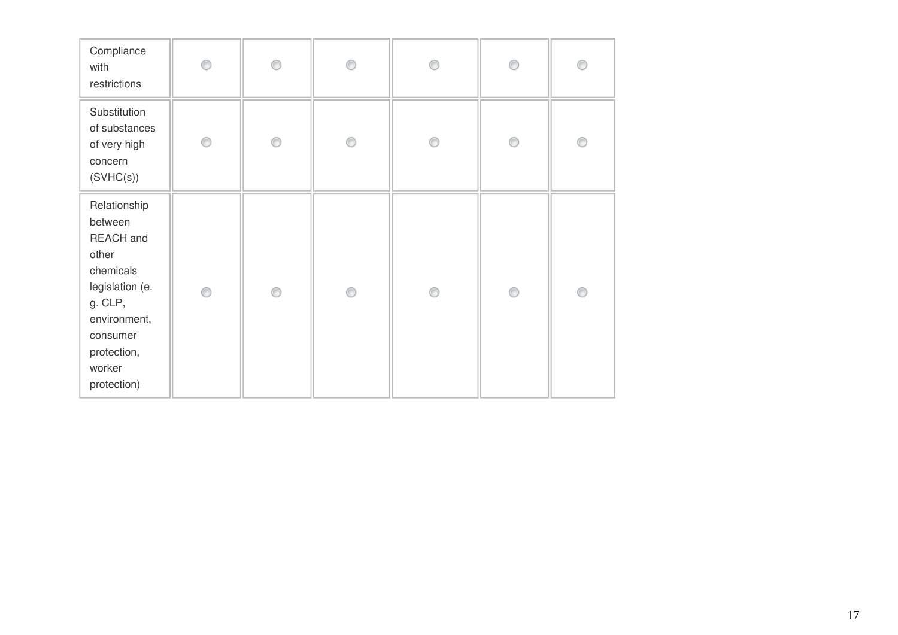| Compliance<br>with<br>restrictions                                                                                                                           | ∩ | ⋒ | ⋒ |   | ⋒ | € |
|--------------------------------------------------------------------------------------------------------------------------------------------------------------|---|---|---|---|---|---|
| Substitution<br>of substances<br>of very high<br>concern<br>(SVHC(s))                                                                                        | 0 | ∩ | 0 | ⊙ | 0 | C |
| Relationship<br>between<br>REACH and<br>other<br>chemicals<br>legislation (e.<br>g. CLP,<br>environment,<br>consumer<br>protection,<br>worker<br>protection) | ∩ | ∩ | ∩ | ⋒ | 0 | C |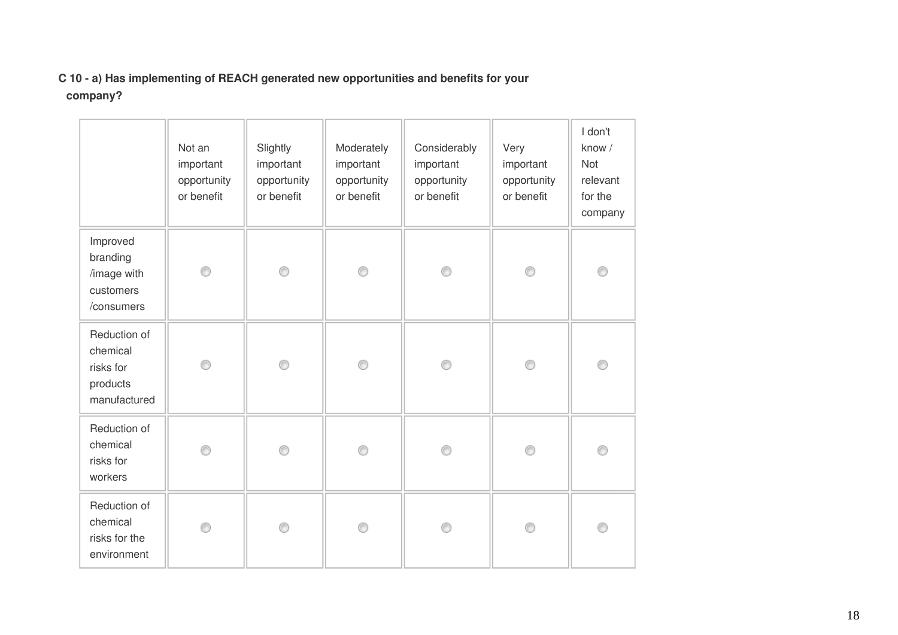#### **C 10 - a) Has implementing of REACH generated new opportunities and benefits for your company?**

|                                                                   | Not an<br>important<br>opportunity<br>or benefit | Slightly<br>important<br>opportunity<br>or benefit | Moderately<br>important<br>opportunity<br>or benefit | Considerably<br>important<br>opportunity<br>or benefit | Very<br>important<br>opportunity<br>or benefit | I don't<br>know /<br>Not<br>relevant<br>for the<br>company |
|-------------------------------------------------------------------|--------------------------------------------------|----------------------------------------------------|------------------------------------------------------|--------------------------------------------------------|------------------------------------------------|------------------------------------------------------------|
| Improved<br>branding<br>/image with<br>customers<br>/consumers    | ⊙                                                | 0                                                  | 0                                                    | ∩                                                      | 0                                              | O                                                          |
| Reduction of<br>chemical<br>risks for<br>products<br>manufactured | ◉                                                | ∩                                                  | ⊙                                                    | ⋒                                                      | ◉                                              |                                                            |
| Reduction of<br>chemical<br>risks for<br>workers                  | ⋒                                                | ∩                                                  | ⋒                                                    |                                                        | ⊙                                              |                                                            |
| Reduction of<br>chemical<br>risks for the<br>environment          | ⋒                                                |                                                    | ⊙                                                    |                                                        | Ô                                              | O                                                          |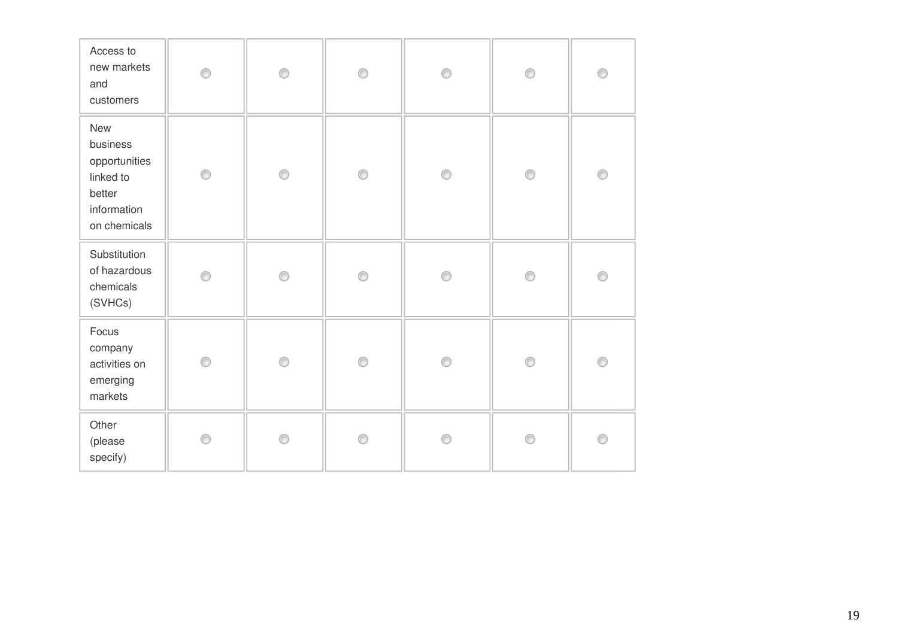| Access to<br>new markets<br>and<br>customers                                           | ⋒ | 0 | 0 | ∩ | 0              | O |
|----------------------------------------------------------------------------------------|---|---|---|---|----------------|---|
| New<br>business<br>opportunities<br>linked to<br>better<br>information<br>on chemicals | 0 | 0 | 0 | ◉ | $\circledcirc$ | O |
| Substitution<br>of hazardous<br>chemicals<br>(SVHCs)                                   | ∩ | ∩ | 0 | ⋒ | ⊙              | C |
| Focus<br>company<br>activities on<br>emerging<br>markets                               | 0 | 0 | 0 | ⋒ | 0              | C |
| Other<br>(please<br>specify)                                                           | ⋒ | ⊙ | ⊙ |   | ⊙              | C |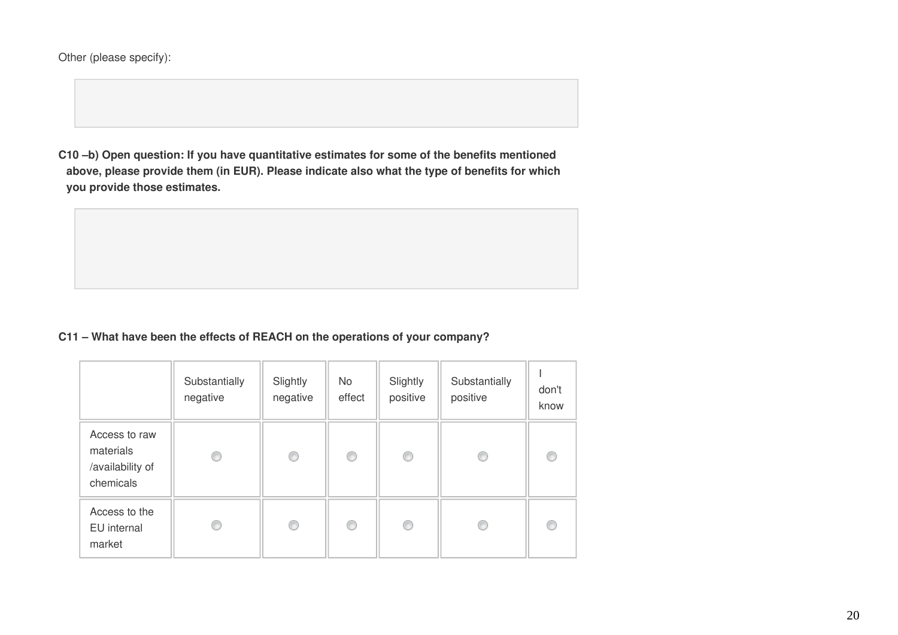Other (please specify):

**C10 –b) Open question: If you have quantitative estimates for some of the benefits mentioned above, please provide them (in EUR). Please indicate also what the type of benefits for which you provide those estimates.**



|                                                             | Substantially<br>negative | Slightly<br>negative | No.<br>effect | Slightly<br>positive | Substantially<br>positive | don't<br>know |
|-------------------------------------------------------------|---------------------------|----------------------|---------------|----------------------|---------------------------|---------------|
| Access to raw<br>materials<br>/availability of<br>chemicals | O                         | O                    | C             | ⊙                    | C                         |               |
| Access to the<br>EU internal<br>market                      | €                         | 0                    | ⊙             | ⊙                    | €                         |               |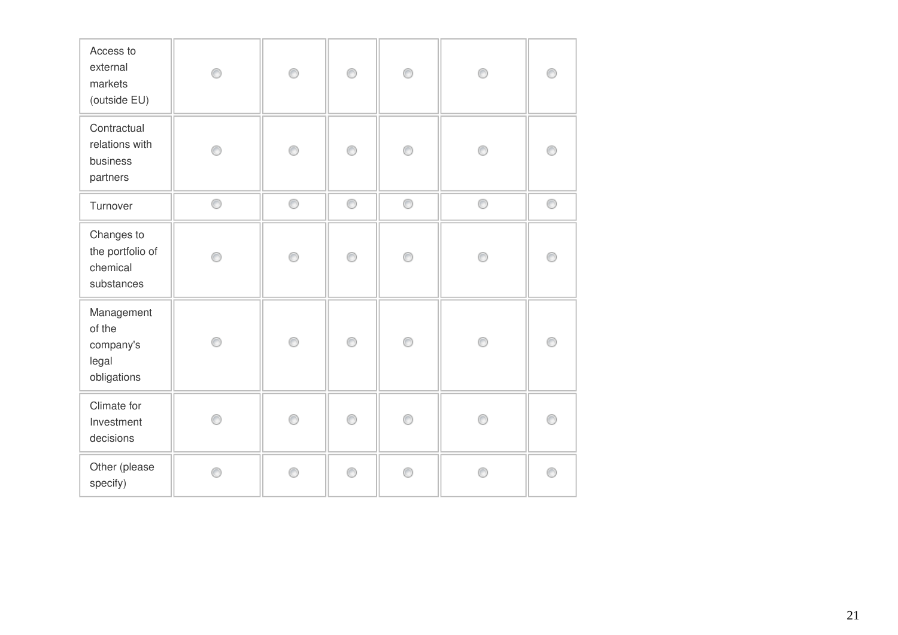| Access to<br>external<br>markets<br>(outside EU)          |   | 0 | ∩ | ⊙ |   |   |
|-----------------------------------------------------------|---|---|---|---|---|---|
| Contractual<br>relations with<br>business<br>partners     |   | 0 | ∩ | ∩ |   |   |
| Turnover                                                  | 0 | 0 | 0 | 0 | ⊙ | 0 |
| Changes to<br>the portfolio of<br>chemical<br>substances  | A | 0 | ⋒ | ⋒ |   |   |
| Management<br>of the<br>company's<br>legal<br>obligations | A | ⊙ | ∩ | ⋒ |   |   |
| Climate for<br>Investment<br>decisions                    |   | ⊙ | ⋒ | ⋒ |   |   |
| Other (please<br>specify)                                 | ⋒ | ⊙ | ⋒ | ∩ | ē |   |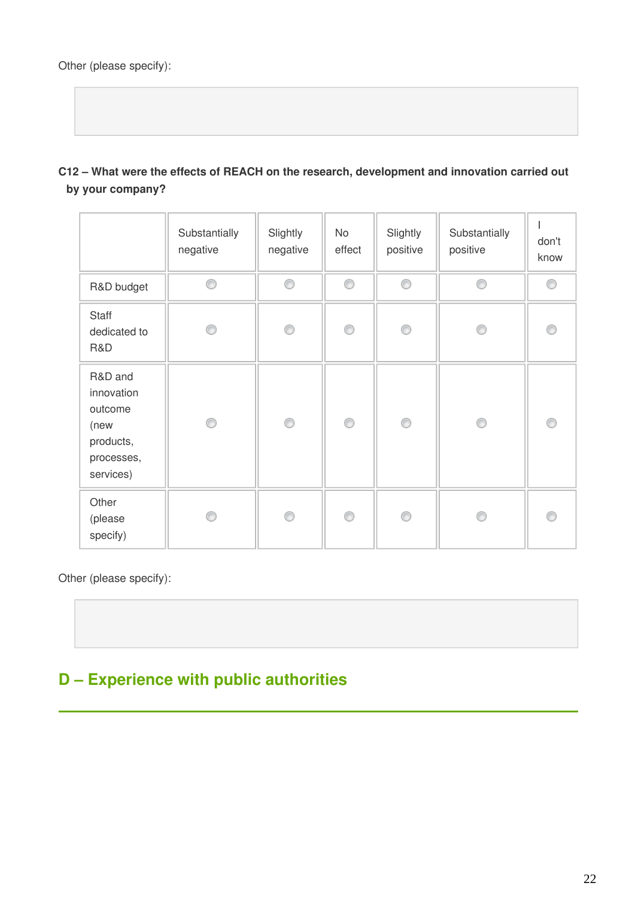**C12 – What were the effects of REACH on the research, development and innovation carried out by your company?**

|                                                                                  | Substantially<br>negative | Slightly<br>negative | No<br>effect | Slightly<br>positive | Substantially<br>positive | don't<br>know |
|----------------------------------------------------------------------------------|---------------------------|----------------------|--------------|----------------------|---------------------------|---------------|
| R&D budget                                                                       | ∩                         | 0                    | 0            | 0                    | O                         | 0             |
| Staff<br>dedicated to<br>R&D                                                     |                           | ∩                    | ⊙            | ∩                    |                           | ⋒             |
| R&D and<br>innovation<br>outcome<br>(new<br>products,<br>processes,<br>services) | ∩                         | 0                    | 0            | 0                    | ⋒                         | ⋒             |
| Other<br>(please<br>specify)                                                     |                           |                      | ⊙            | ⋒                    |                           |               |

Other (please specify):

## **D – Experience with public authorities**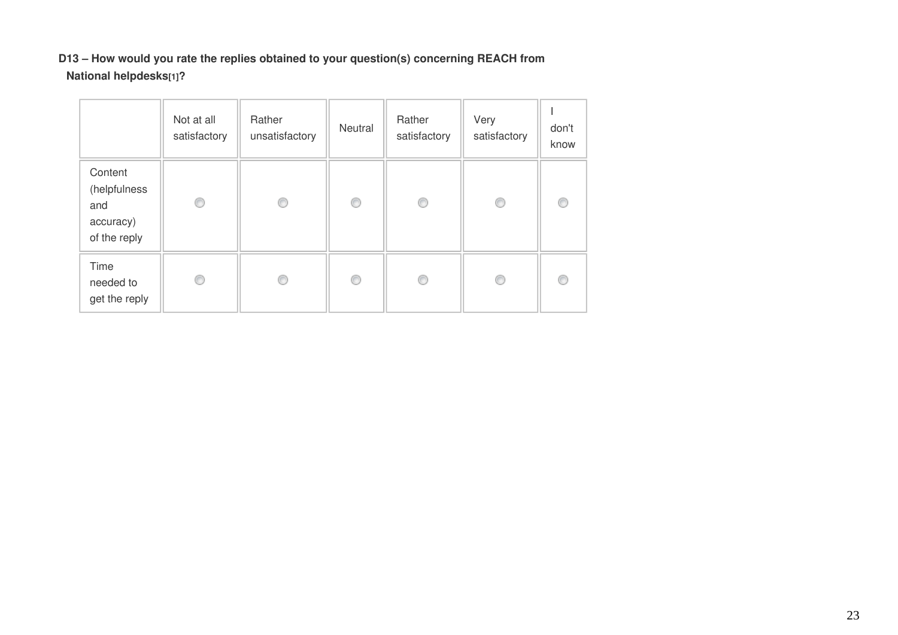#### **D13 – How would you rate the replies obtained to your question(s) concerning REACH from National helpdesks[1]?**

|                                                             | Not at all<br>satisfactory | Rather<br>unsatisfactory | Neutral | Rather<br>satisfactory | Very<br>satisfactory | don't<br>know |
|-------------------------------------------------------------|----------------------------|--------------------------|---------|------------------------|----------------------|---------------|
| Content<br>(helpfulness<br>and<br>accuracy)<br>of the reply | ◎                          | 0                        | O       | O                      | O                    | €             |
| Time<br>needed to<br>get the reply                          | ⊙                          | ⊙                        | ⊙       | ⊙                      | O                    |               |